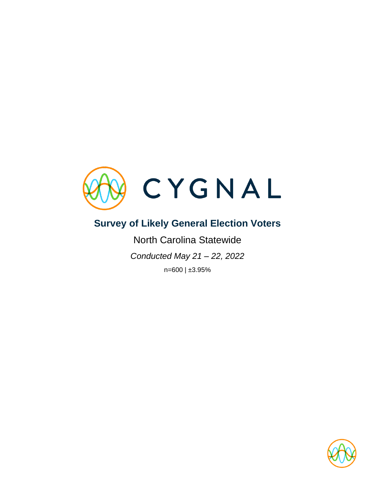

# **Survey of Likely General Election Voters**

North Carolina Statewide *Conducted May 21 – 22, 2022* n=600 | ±3.95%

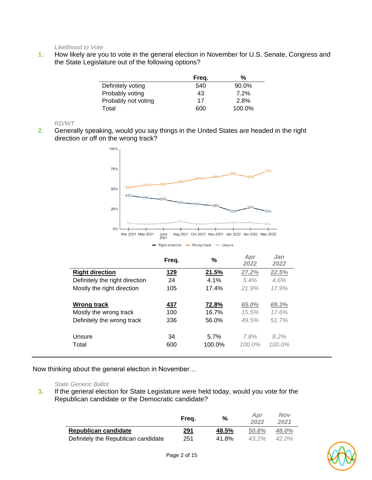*Likelihood to Vote*

**1.** How likely are you to vote in the general election in November for U.S. Senate, Congress and the State Legislature out of the following options?

|                     | Freq. | %      |
|---------------------|-------|--------|
| Definitely voting   | 540   | 90.0%  |
| Probably voting     | 43    | 7.2%   |
| Probably not voting | 17    | 2.8%   |
| Total               | 600   | 100.0% |

*RD/WT*

**2.** Generally speaking, would you say things in the United States are headed in the right direction or off on the wrong track?



|                                | Freg.      | %      | Apr<br>2022 | Jan<br>2022 |
|--------------------------------|------------|--------|-------------|-------------|
| <b>Right direction</b>         | <u>129</u> | 21.5%  | 27.2%       | 22.5%       |
| Definitely the right direction | 24         | 4.1%   | 5.4%        | 4.6%        |
| Mostly the right direction     | 105        | 17.4%  | 21.9%       | 17.9%       |
|                                |            |        |             |             |
| <b>Wrong track</b>             | 437        | 72.8%  | 65.0%       | 69.3%       |
| Mostly the wrong track         | 100        | 16.7%  | 15.5%       | 17.6%       |
| Definitely the wrong track     | 336        | 56.0%  | 49.5%       | 51.7%       |
|                                |            |        |             |             |
| Unsure                         | 34         | 5.7%   | 7.8%        | 8.2%        |
| Total                          | 600        | 100.0% | $100.0\%$   | $100.0\%$   |
|                                |            |        |             |             |

Now thinking about the general election in November…

#### *State Generic Ballot*

**3.** If the general election for State Legislature were held today, would you vote for the Republican candidate or the Democratic candidate?

|                                     | Frea. | %     | Apr<br>2022 | <b>Nov</b><br>2021 |
|-------------------------------------|-------|-------|-------------|--------------------|
| Republican candidate                | 291   | 48.5% | 50.8%       | 48.0%              |
| Definitely the Republican candidate | 251   | 41.8% | $43.2\%$    | $42.0\%$           |

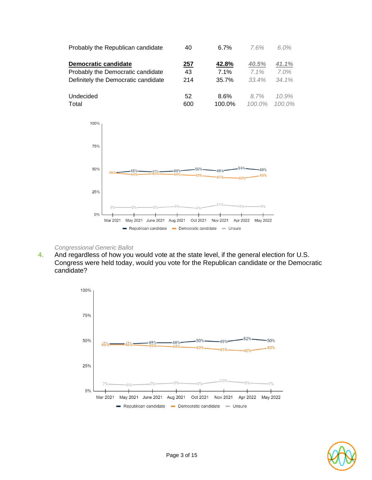



#### *Congressional Generic Ballot*

**4.** And regardless of how you would vote at the state level, if the general election for U.S. Congress were held today, would you vote for the Republican candidate or the Democratic candidate?



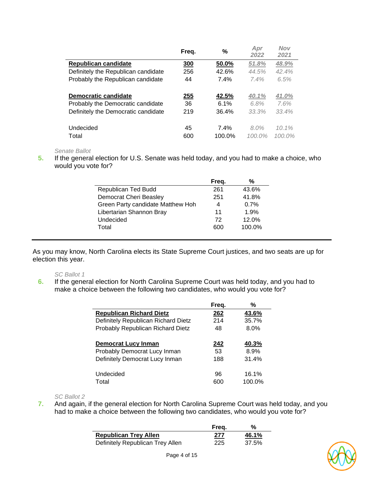|                                     | Freg.      | %      | Apr<br>2022 | <b>Nov</b><br>2021 |
|-------------------------------------|------------|--------|-------------|--------------------|
| Republican candidate                | <u>300</u> | 50.0%  | 51.8%       | 48.9%              |
| Definitely the Republican candidate | 256        | 42.6%  | 44.5%       | 42.4%              |
| Probably the Republican candidate   | 44         | 7.4%   | 7.4%        | 6.5%               |
|                                     |            |        |             |                    |
| <b>Democratic candidate</b>         | 255        | 42.5%  | 40.1%       | 41.0%              |
| Probably the Democratic candidate   | 36         | 6.1%   | 6.8%        | 7.6%               |
| Definitely the Democratic candidate | 219        | 36.4%  | 33.3%       | 33.4%              |
|                                     |            |        |             |                    |
| Undecided                           | 45         | 7.4%   | $8.0\%$     | $10.1\%$           |
| Total                               | 600        | 100.0% | $100.0\%$   | $100.0\%$          |

#### *Senate Ballot*

**5.** If the general election for U.S. Senate was held today, and you had to make a choice, who would you vote for?

|                                   | Freq. | %      |
|-----------------------------------|-------|--------|
| Republican Ted Budd               | 261   | 43.6%  |
| Democrat Cheri Beasley            | 251   | 41.8%  |
| Green Party candidate Matthew Hoh | 4     | 0.7%   |
| Libertarian Shannon Bray          | 11    | 1.9%   |
| Undecided                         | 72    | 12.0%  |
| Total                             | 600   | 100.0% |
|                                   |       |        |

As you may know, North Carolina elects its State Supreme Court justices, and two seats are up for election this year.

#### *SC Ballot 1*

**6.** If the general election for North Carolina Supreme Court was held today, and you had to make a choice between the following two candidates, who would you vote for?

|                                     | Freg. | %      |
|-------------------------------------|-------|--------|
| <b>Republican Richard Dietz</b>     | 262   | 43.6%  |
| Definitely Republican Richard Dietz | 214   | 35.7%  |
| Probably Republican Richard Dietz   | 48    | 8.0%   |
| Democrat Lucy Inman                 | 242   | 40.3%  |
| Probably Democrat Lucy Inman        | 53    | 8.9%   |
| Definitely Democrat Lucy Inman      | 188   | 31.4%  |
| Undecided                           | 96    | 16.1%  |
| Total                               | 600   | 100.0% |

*SC Ballot 2*

**7.** And again, if the general election for North Carolina Supreme Court was held today, and you had to make a choice between the following two candidates, who would you vote for?

|                                  | Freq. | %     |
|----------------------------------|-------|-------|
| <b>Republican Trey Allen</b>     | 277   | 46.1% |
| Definitely Republican Trey Allen | 225   | 37.5% |

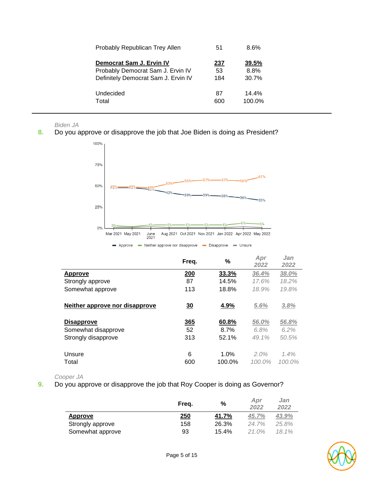| Probably Republican Trey Allen      | 51  | 8.6%   |
|-------------------------------------|-----|--------|
| Democrat Sam J. Ervin IV            | 237 | 39.5%  |
| Probably Democrat Sam J. Ervin IV   | 53  | 8.8%   |
| Definitely Democrat Sam J. Ervin IV | 184 | 30.7%  |
| Undecided                           | 87  | 14.4%  |
| Total                               | 600 | 100.0% |

*Biden JA*

**8.** Do you approve or disapprove the job that Joe Biden is doing as President?



|                                | Freq.    | %              | Apr<br>2022       | Jan<br>2022       |
|--------------------------------|----------|----------------|-------------------|-------------------|
| Approve                        | 200      | 33.3%          | 36.4%             | 38.0%             |
| Strongly approve               | 87       | 14.5%          | 17.6%             | 18.2%             |
| Somewhat approve               | 113      | 18.8%          | 18.9%             | 19.8%             |
| Neither approve nor disapprove | 30       | 4.9%           | 5.6%              | 3.8%              |
| <b>Disapprove</b>              | 365      | 60.8%          | 56.0%             | 56.8%             |
| Somewhat disapprove            | 52       | 8.7%           | 6.8%              | 6.2%              |
| Strongly disapprove            | 313      | 52.1%          | 49.1%             | 50.5%             |
| Unsure<br>Total                | 6<br>600 | 1.0%<br>100.0% | 2.0%<br>$100.0\%$ | 1.4%<br>$100.0\%$ |

*Cooper JA*

**9.** Do you approve or disapprove the job that Roy Cooper is doing as Governor?

|                  | Freq.      | %     | Apr<br>2022 | Jan<br>2022 |
|------------------|------------|-------|-------------|-------------|
| Approve          | <u>250</u> | 41.7% | 45.7%       | 43.9%       |
| Strongly approve | 158        | 26.3% | 24.7%       | 25.8%       |
| Somewhat approve | 93         | 15.4% | $21.0\%$    | 18.1%       |

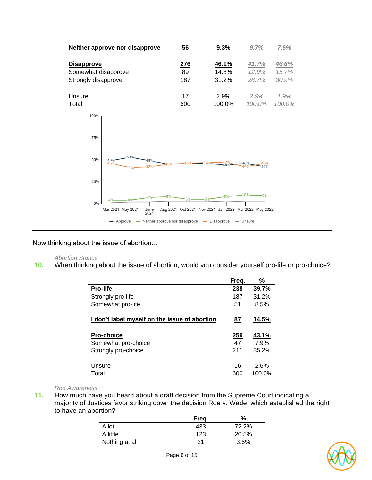

Now thinking about the issue of abortion…

#### *Abortion Stance*

**10.** When thinking about the issue of abortion, would you consider yourself pro-life or pro-choice?

|                                               | Freq.     | %      |
|-----------------------------------------------|-----------|--------|
| Pro-life                                      | 238       | 39.7%  |
| Strongly pro-life                             | 187       | 31.2%  |
| Somewhat pro-life                             | 51        | 8.5%   |
| I don't label myself on the issue of abortion | <u>87</u> | 14.5%  |
| <b>Pro-choice</b>                             | 259       | 43.1%  |
| Somewhat pro-choice                           | 47        | 7.9%   |
| Strongly pro-choice                           | 211       | 35.2%  |
| Unsure                                        | 16        | 2.6%   |
| Total                                         | 600       | 100.0% |

#### *Roe Awareness*

**11.** How much have you heard about a draft decision from the Supreme Court indicating a majority of Justices favor striking down the decision Roe v. Wade, which established the right to have an abortion?

|                | Freq. | %     |
|----------------|-------|-------|
| A lot          | 433   | 72.2% |
| A little       | 123   | 20.5% |
| Nothing at all | 21    | 3.6%  |

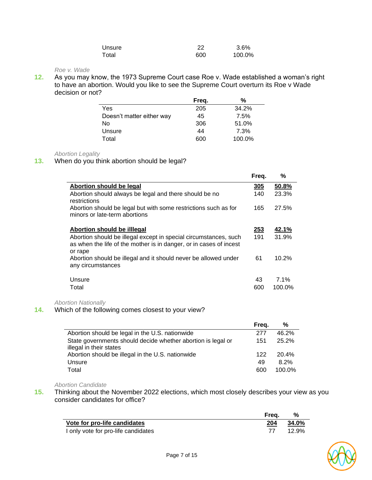| Unsure | 22  | 3.6%   |
|--------|-----|--------|
| Total  | 600 | 100.0% |

### *Roe v. Wade*

**12.** As you may know, the 1973 Supreme Court case Roe v. Wade established a woman's right to have an abortion. Would you like to see the Supreme Court overturn its Roe v Wade decision or not?

|                           | Freg. | %      |
|---------------------------|-------|--------|
| Yes                       | 205   | 34.2%  |
| Doesn't matter either way | 45    | 7.5%   |
| No                        | 306   | 51.0%  |
| Unsure                    | 44    | 7.3%   |
| Total                     | 600   | 100.0% |

#### *Abortion Legality*

#### **13.** When do you think abortion should be legal?

|                                                                                                                                                   | Freq.      | %      |
|---------------------------------------------------------------------------------------------------------------------------------------------------|------------|--------|
| Abortion should be legal                                                                                                                          | <b>305</b> | 50.8%  |
| Abortion should always be legal and there should be no<br>restrictions                                                                            | 140        | 23.3%  |
| Abortion should be legal but with some restrictions such as for<br>minors or late-term abortions                                                  | 165        | 27.5%  |
| Abortion should be illiegal                                                                                                                       | 253        | 42.1%  |
| Abortion should be illegal except in special circumstances, such<br>as when the life of the mother is in danger, or in cases of incest<br>or rape | 191        | 31.9%  |
| Abortion should be illegal and it should never be allowed under<br>any circumstances                                                              | 61         | 10.2%  |
| Unsure                                                                                                                                            | 43         | 7.1%   |
| Total                                                                                                                                             | 600        | 100.0% |

#### *Abortion Nationally*

# **14.** Which of the following comes closest to your view?

|                                                              | Freq. | %      |
|--------------------------------------------------------------|-------|--------|
| Abortion should be legal in the U.S. nationwide              | 277   | 46.2%  |
| State governments should decide whether abortion is legal or | 151   | 25.2%  |
| illegal in their states                                      |       |        |
| Abortion should be illegal in the U.S. nationwide            | 122   | 20.4%  |
| Unsure                                                       | 49    | 8.2%   |
| Total                                                        | 600   | 100.0% |

#### *Abortion Candidate*

**15.** Thinking about the November 2022 elections, which most closely describes your view as you consider candidates for office?

|                                     | Frea. | %     |
|-------------------------------------|-------|-------|
| Vote for pro-life candidates        | 204   | 34.0% |
| I only vote for pro-life candidates |       | 12.9% |

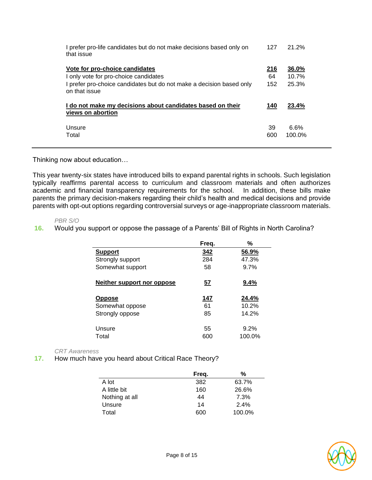| I prefer pro-life candidates but do not make decisions based only on<br>that issue    | 127         | 21.2% |
|---------------------------------------------------------------------------------------|-------------|-------|
| Vote for pro-choice candidates                                                        | <u> 216</u> | 36.0% |
| I only vote for pro-choice candidates                                                 | 64          | 10.7% |
| I prefer pro-choice candidates but do not make a decision based only<br>on that issue | 152         | 25.3% |
| I do not make my decisions about candidates based on their<br>views on abortion       | 140         | 23.4% |
|                                                                                       |             |       |
| Unsure                                                                                | 39          | 6.6%  |

Thinking now about education…

This year twenty-six states have introduced bills to expand parental rights in schools. Such legislation typically reaffirms parental access to curriculum and classroom materials and often authorizes academic and financial transparency requirements for the school. In addition, these bills make parents the primary decision-makers regarding their child's health and medical decisions and provide parents with opt-out options regarding controversial surveys or age-inappropriate classroom materials.

#### *PBR S/O*

**16.** Would you support or oppose the passage of a Parents' Bill of Rights in North Carolina?

|                            | Freq.      | %      |
|----------------------------|------------|--------|
| <b>Support</b>             | <u>342</u> | 56.9%  |
| Strongly support           | 284        | 47.3%  |
| Somewhat support           | 58         | 9.7%   |
| Neither support nor oppose | <u>57</u>  | 9.4%   |
| <b>Oppose</b>              | 147        | 24.4%  |
| Somewhat oppose            | 61         | 10.2%  |
| Strongly oppose            | 85         | 14.2%  |
| Unsure                     | 55         | 9.2%   |
| Total                      | 600        | 100.0% |

#### *CRT Awareness*

**17.** How much have you heard about Critical Race Theory?

|                | Freq. | %      |
|----------------|-------|--------|
| A lot          | 382   | 63.7%  |
| A little bit   | 160   | 26.6%  |
| Nothing at all | 44    | 7.3%   |
| Unsure         | 14    | 2.4%   |
| Total          | 600   | 100.0% |

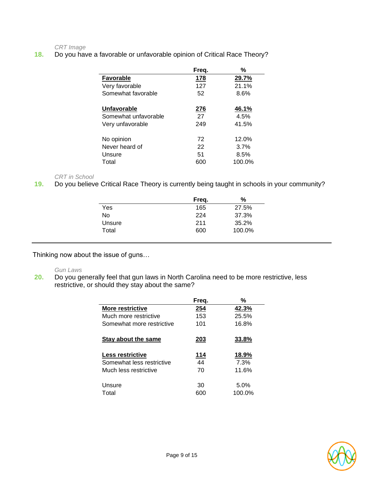*CRT Image*

**18.** Do you have a favorable or unfavorable opinion of Critical Race Theory?

|                      | Freq. | %       |
|----------------------|-------|---------|
| <b>Favorable</b>     | 178   | 29.7%   |
| Very favorable       | 127   | 21.1%   |
| Somewhat favorable   | 52    | $8.6\%$ |
|                      |       |         |
| <b>Unfavorable</b>   | 276   | 46.1%   |
| Somewhat unfavorable | 27    | 4.5%    |
| Very unfavorable     | 249   | 41.5%   |
|                      |       |         |
| No opinion           | 72    | 12.0%   |
| Never heard of       | 22    | 3.7%    |
| Unsure               | 51    | 8.5%    |
| Total                | 600   | 100.0%  |

#### *CRT in School*

**19.** Do you believe Critical Race Theory is currently being taught in schools in your community?

|        | Freg. | %      |
|--------|-------|--------|
| Yes    | 165   | 27.5%  |
| No     | 224   | 37.3%  |
| Unsure | 211   | 35.2%  |
| Total  | 600   | 100.0% |

Thinking now about the issue of guns…

# *Gun Laws*

**20.** Do you generally feel that gun laws in North Carolina need to be more restrictive, less restrictive, or should they stay about the same?

|                                                                        | Freq.           | %                      |
|------------------------------------------------------------------------|-----------------|------------------------|
| More restrictive                                                       | 254             | 42.3%                  |
| Much more restrictive                                                  | 153             | 25.5%                  |
| Somewhat more restrictive                                              | 101             | 16.8%                  |
| Stay about the same                                                    | 203             | 33.8%                  |
| Less restrictive<br>Somewhat less restrictive<br>Much less restrictive | 114<br>44<br>70 | 18.9%<br>7.3%<br>11.6% |
| Unsure<br>Total                                                        | 30<br>600       | 5.0%<br>100.0%         |

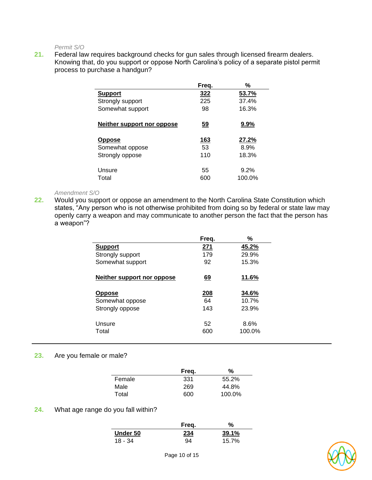*Permit S/O*

**21.** Federal law requires background checks for gun sales through licensed firearm dealers. Knowing that, do you support or oppose North Carolina's policy of a separate pistol permit process to purchase a handgun?

|                            | Freq.       | %            |
|----------------------------|-------------|--------------|
| <b>Support</b>             | <u>322</u>  | 53.7%        |
| Strongly support           | 225         | 37.4%        |
| Somewhat support           | 98          | 16.3%        |
| Neither support nor oppose | <u>59</u>   | $9.9\%$      |
| <b>Oppose</b>              | <u> 163</u> | <u>27.2%</u> |
| Somewhat oppose            | 53          | 8.9%         |
| Strongly oppose            | 110         | 18.3%        |
| Unsure                     | 55          | 9.2%         |
| Total                      | 600         | 100.0%       |

#### *Amendment S/O*

**22.** Would you support or oppose an amendment to the North Carolina State Constitution which states, "Any person who is not otherwise prohibited from doing so by federal or state law may openly carry a weapon and may communicate to another person the fact that the person has a weapon"?

|                            | Freg.       | %      |
|----------------------------|-------------|--------|
| <b>Support</b>             | 271         | 45.2%  |
| Strongly support           | 179         | 29.9%  |
| Somewhat support           | 92          | 15.3%  |
| Neither support nor oppose | <u>69</u>   | 11.6%  |
| <b>Oppose</b>              | <u> 208</u> | 34.6%  |
| Somewhat oppose            | 64          | 10.7%  |
| Strongly oppose            | 143         | 23.9%  |
|                            |             |        |
| Unsure                     | 52          | 8.6%   |
| Total                      | 600         | 100.0% |
|                            |             |        |

### **23.** Are you female or male?

|        | Freg. | %      |
|--------|-------|--------|
| Female | 331   | 55.2%  |
| Male   | 269   | 44.8%  |
| Total  | 600   | 100.0% |

#### **24.** What age range do you fall within?

|           | Freq.      | %     |
|-----------|------------|-------|
| Under 50  | <u>234</u> | 39.1% |
| $18 - 34$ | 94         | 15.7% |

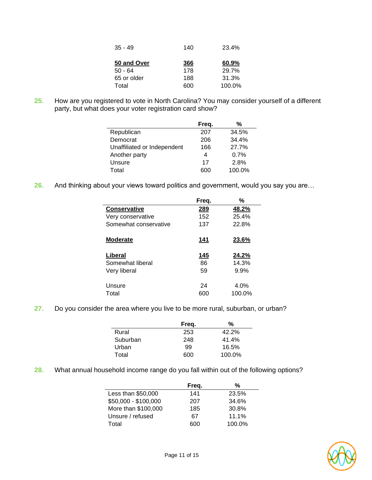| $35 - 49$   | 140 | 23.4%  |
|-------------|-----|--------|
| 50 and Over | 366 | 60.9%  |
| 50 - 64     | 178 | 29.7%  |
| 65 or older | 188 | 31.3%  |
| Total       | 600 | 100.0% |

**25.** How are you registered to vote in North Carolina? You may consider yourself of a different party, but what does your voter registration card show?

|                             | Freq. | %      |
|-----------------------------|-------|--------|
| Republican                  | 207   | 34.5%  |
| Democrat                    | 206   | 34.4%  |
| Unaffiliated or Independent | 166   | 27.7%  |
| Another party               | 4     | 0.7%   |
| Unsure                      | 17    | 2.8%   |
| Total                       | 600   | 100.0% |

**26.** And thinking about your views toward politics and government, would you say you are…

|                       | Freq.       | %      |
|-----------------------|-------------|--------|
| <b>Conservative</b>   | <u> 289</u> | 48.2%  |
| Very conservative     | 152         | 25.4%  |
| Somewhat conservative | 137         | 22.8%  |
| <b>Moderate</b>       | 141         | 23.6%  |
| Liberal               | <u> 145</u> | 24.2%  |
| Somewhat liberal      | 86          | 14.3%  |
| Very liberal          | 59          | 9.9%   |
| Unsure                | 24          | 4.0%   |
| Total                 | 600         | 100.0% |

**27.** Do you consider the area where you live to be more rural, suburban, or urban?

|          | Freq. | %      |
|----------|-------|--------|
| Rural    | 253   | 42.2%  |
| Suburban | 248   | 41.4%  |
| Urban    | 99    | 16.5%  |
| Total    | 600   | 100.0% |

**28.** What annual household income range do you fall within out of the following options?

|                      | Freq. | %      |
|----------------------|-------|--------|
| Less than \$50,000   | 141   | 23.5%  |
| \$50,000 - \$100,000 | 207   | 34.6%  |
| More than \$100,000  | 185   | 30.8%  |
| Unsure / refused     | 67    | 11.1%  |
| Total                | ദററ   | 100.0% |

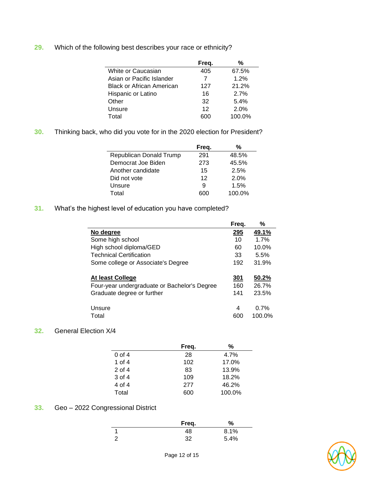**29.** Which of the following best describes your race or ethnicity?

|                                  | Freq. | %      |
|----------------------------------|-------|--------|
| White or Caucasian               | 405   | 67.5%  |
| Asian or Pacific Islander        | 7     | 1.2%   |
| <b>Black or African American</b> | 127   | 21.2%  |
| Hispanic or Latino               | 16    | 2.7%   |
| Other                            | 32    | 5.4%   |
| Unsure                           | 12    | 2.0%   |
| Total                            | 600   | 100.0% |

**30.** Thinking back, who did you vote for in the 2020 election for President?

| Freq. | %      |
|-------|--------|
| 291   | 48.5%  |
| 273   | 45.5%  |
| 15    | 2.5%   |
| 12    | 2.0%   |
| 9     | 1.5%   |
| 600   | 100.0% |
|       |        |

**31.** What's the highest level of education you have completed?

|                                              | Freq.      | %      |
|----------------------------------------------|------------|--------|
| No degree                                    | 295        | 49.1%  |
| Some high school                             | 10         | 1.7%   |
| High school diploma/GED                      | 60         | 10.0%  |
| <b>Technical Certification</b>               | 33         | 5.5%   |
| Some college or Associate's Degree           | 192        | 31.9%  |
|                                              |            |        |
| At least College                             | <u>301</u> | 50.2%  |
| Four-year undergraduate or Bachelor's Degree | 160        | 26.7%  |
| Graduate degree or further                   | 141        | 23.5%  |
|                                              |            |        |
| Unsure                                       | 4          | 0.7%   |
| Total                                        | 600        | 100.0% |

### **32.** General Election X/4

|          | Freq. | %      |
|----------|-------|--------|
| $0$ of 4 | 28    | 4.7%   |
| 1 of $4$ | 102   | 17.0%  |
| $2$ of 4 | 83    | 13.9%  |
| $3$ of 4 | 109   | 18.2%  |
| 4 of 4   | 277   | 46.2%  |
| Total    | 600   | 100.0% |

# **33.** Geo – 2022 Congressional District

|   | Freq. | %    |
|---|-------|------|
|   | 48    | 8.1% |
| ⌒ | 32    | 5.4% |

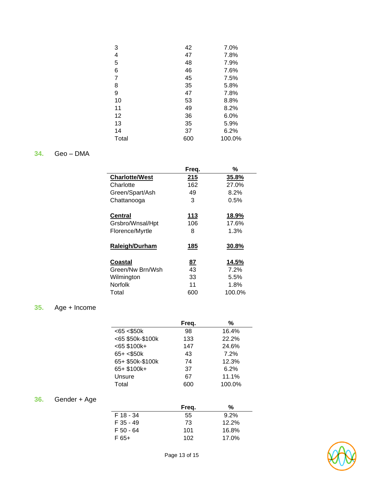| 3     | 42  | 7.0%    |
|-------|-----|---------|
| 4     | 47  | 7.8%    |
| 5     | 48  | 7.9%    |
| 6     | 46  | 7.6%    |
| 7     | 45  | 7.5%    |
| 8     | 35  | 5.8%    |
| 9     | 47  | 7.8%    |
| 10    | 53  | 8.8%    |
| 11    | 49  | 8.2%    |
| 12    | 36  | $6.0\%$ |
| 13    | 35  | 5.9%    |
| 14    | 37  | 6.2%    |
| Total | 600 | 100.0%  |

# **34.** Geo – DMA

|                       | Freq.       | %             |
|-----------------------|-------------|---------------|
| <b>Charlotte/West</b> | 215         | 35.8%         |
| Charlotte             | 162         | 27.0%         |
| Green/Spart/Ash       | 49          | 8.2%          |
| Chattanooga           | 3           | $0.5\%$       |
| <b>Central</b>        | <u> 113</u> | <u> 18.9%</u> |
| Grsbro/Wnsal/Hpt      | 106         | 17.6%         |
| Florence/Myrtle       | 8           | 1.3%          |
| <b>Raleigh/Durham</b> | <u> 185</u> | 30.8%         |
| Coastal               | <u>87</u>   | <u>14.5%</u>  |
| Green/Nw Brn/Wsh      | 43          | 7.2%          |
| Wilmington            | 33          | 5.5%          |
| <b>Norfolk</b>        | 11          | 1.8%          |
| Total                 | 600         | 100.0%        |

# **35.** Age + Income

|                     | Freq. | %      |
|---------------------|-------|--------|
| $<$ 65 $<$ \$50 $k$ | 98    | 16.4%  |
| <65 \$50k-\$100k    | 133   | 22.2%  |
| $< 65$ \$100k+      | 147   | 24.6%  |
| $65 + < $50k$       | 43    | 7.2%   |
| 65+ \$50k-\$100k    | 74    | 12.3%  |
| 65+ \$100k+         | 37    | 6.2%   |
| Unsure              | 67    | 11.1%  |
| Total               | 600   | 100.0% |

# **36.** Gender + Age

|             | Freq. | %       |
|-------------|-------|---------|
| F 18 - 34   | 55    | $9.2\%$ |
| $F$ 35 - 49 | 73    | 12.2%   |
| F 50 - 64   | 101   | 16.8%   |
| F 65+       | 102   | 17.0%   |

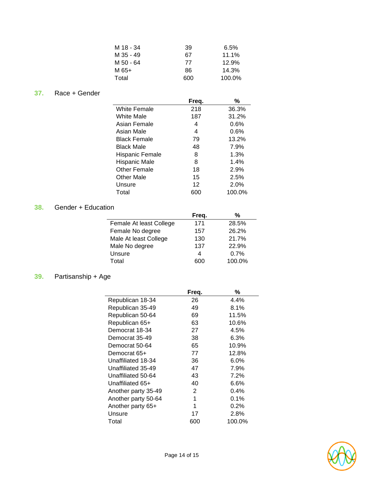| M 18 - 34 | 39  | 6.5%   |
|-----------|-----|--------|
| M 35 - 49 | 67  | 11.1%  |
| M 50 - 64 | 77  | 12.9%  |
| M 65+     | 86  | 14.3%  |
| Total     | 600 | 100.0% |

# **37.** Race + Gender

|                     | Freq. | %      |
|---------------------|-------|--------|
| <b>White Female</b> | 218   | 36.3%  |
| White Male          | 187   | 31.2%  |
| Asian Female        | 4     | 0.6%   |
| Asian Male          | 4     | 0.6%   |
| Black Female        | 79    | 13.2%  |
| Black Male          | 48    | 7.9%   |
| Hispanic Female     | 8     | 1.3%   |
| Hispanic Male       | 8     | 1.4%   |
| Other Female        | 18    | 2.9%   |
| <b>Other Male</b>   | 15    | 2.5%   |
| Unsure              | 12    | 2.0%   |
| Total               | 600   | 100.0% |

# **38.** Gender + Education

|                         | Freq. | %      |  |
|-------------------------|-------|--------|--|
| Female At least College | 171   | 28.5%  |  |
| Female No degree        | 157   | 26.2%  |  |
| Male At least College   | 130   | 21.7%  |  |
| Male No degree          | 137   | 22.9%  |  |
| Unsure                  | 4     | 0.7%   |  |
| Total                   | 600   | 100.0% |  |
|                         |       |        |  |

# **39.** Partisanship + Age

|                     | Freq. | ℅      |
|---------------------|-------|--------|
| Republican 18-34    | 26    | 4.4%   |
| Republican 35-49    | 49    | 8.1%   |
| Republican 50-64    | 69    | 11.5%  |
| Republican 65+      | 63    | 10.6%  |
| Democrat 18-34      | 27    | 4.5%   |
| Democrat 35-49      | 38    | 6.3%   |
| Democrat 50-64      | 65    | 10.9%  |
| Democrat 65+        | 77    | 12.8%  |
| Unaffiliated 18-34  | 36    | 6.0%   |
| Unaffiliated 35-49  | 47    | 7.9%   |
| Unaffiliated 50-64  | 43    | 7.2%   |
| Unaffiliated 65+    | 40    | 6.6%   |
| Another party 35-49 | 2     | 0.4%   |
| Another party 50-64 | 1     | 0.1%   |
| Another party 65+   | 1     | 0.2%   |
| Unsure              | 17    | 2.8%   |
| Total               | 600   | 100.0% |